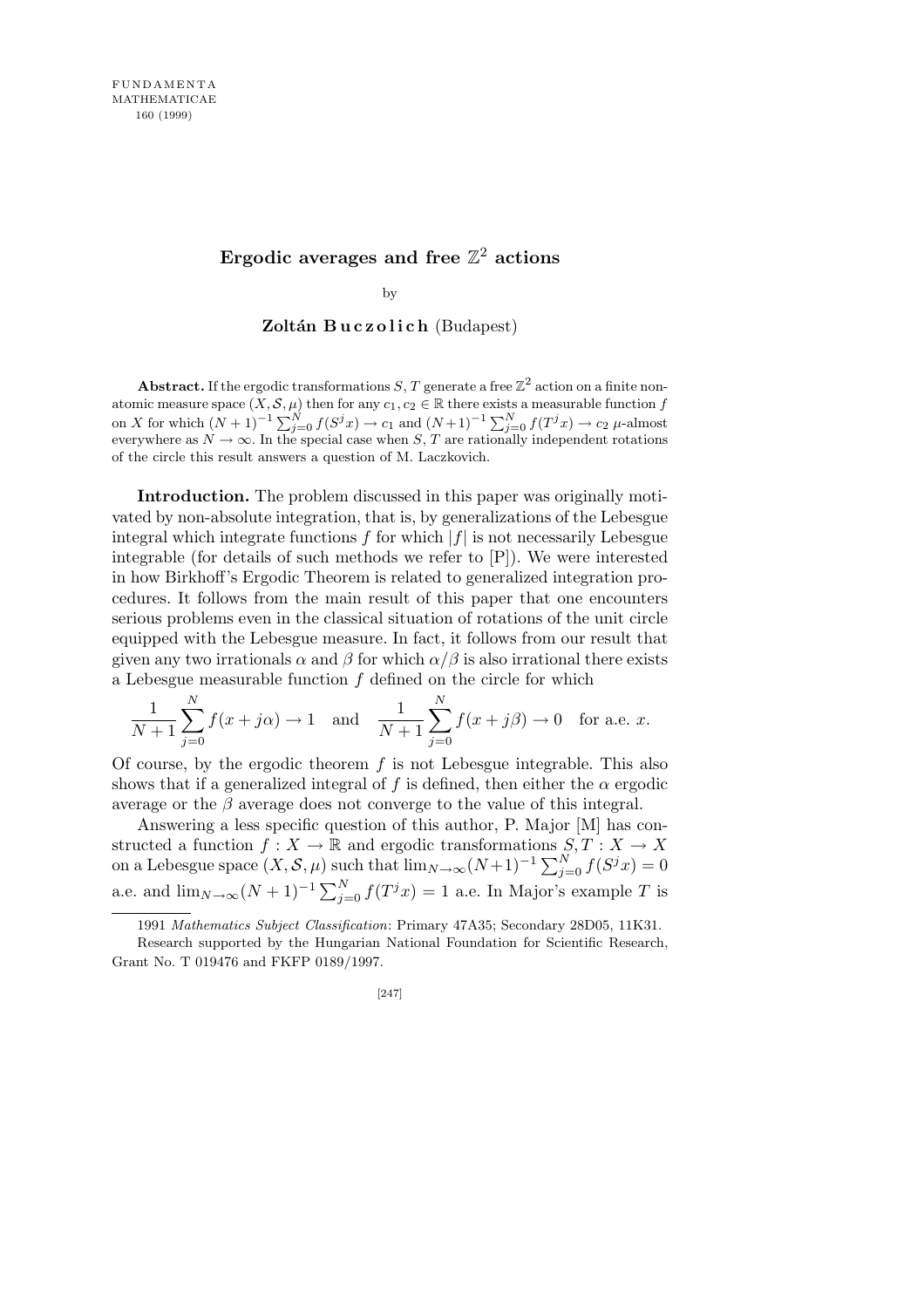## Ergodic averages and free  $\mathbb{Z}^2$  actions

by

**Zoltán Buczolich** (Budapest)

**Abstract.** If the ergodic transformations *S*, *T* generate a free  $\mathbb{Z}^2$  action on a finite nonatomic measure space  $(X, \mathcal{S}, \mu)$  then for any  $c_1, c_2 \in \mathbb{R}$  there exists a measurable function *f* on X for which  $(N + 1)^{-1} \sum_{j=0}^{N} f(S^{j}x) \rightarrow c_1$  and  $(N+1)^{-1} \sum_{j=0}^{N} f(T^{j}x) \rightarrow c_2$   $\mu$ -almost everywhere as  $N \to \infty$ . In the special case when *S*, *T* are rationally independent rotations of the circle this result answers a question of M. Laczkovich.

**Introduction.** The problem discussed in this paper was originally motivated by non-absolute integration, that is, by generalizations of the Lebesgue integral which integrate functions  $f$  for which  $|f|$  is not necessarily Lebesgue integrable (for details of such methods we refer to [P]). We were interested in how Birkhoff's Ergodic Theorem is related to generalized integration procedures. It follows from the main result of this paper that one encounters serious problems even in the classical situation of rotations of the unit circle equipped with the Lebesgue measure. In fact, it follows from our result that given any two irrationals  $\alpha$  and  $\beta$  for which  $\alpha/\beta$  is also irrational there exists a Lebesgue measurable function *f* defined on the circle for which

$$
\frac{1}{N+1} \sum_{j=0}^{N} f(x+j\alpha) \to 1 \text{ and } \frac{1}{N+1} \sum_{j=0}^{N} f(x+j\beta) \to 0 \text{ for a.e. } x.
$$

Of course, by the ergodic theorem *f* is not Lebesgue integrable. This also shows that if a generalized integral of f is defined, then either the  $\alpha$  ergodic average or the  $\beta$  average does not converge to the value of this integral.

Answering a less specific question of this author, P. Major [M] has constructed a function  $f: X \to \mathbb{R}$  and ergodic transformations  $S, T: X \to X$ <br>on a Lebesgue space  $(X, \mathcal{S}, \mu)$  such that  $\lim_{N \to \infty} (N+1)^{-1} \sum_{j=0}^{N} f(S^{j} x) = 0$ a.e. and  $\lim_{N\to\infty} (N+1)^{-1} \sum_{j=0}^{N} f(T^j x) = 1$  a.e. In Major's example *T* is

<sup>1991</sup> *Mathematics Subject Classification*: Primary 47A35; Secondary 28D05, 11K31.

Research supported by the Hungarian National Foundation for Scientific Research, Grant No. T 019476 and FKFP 0189/1997.

<sup>[247]</sup>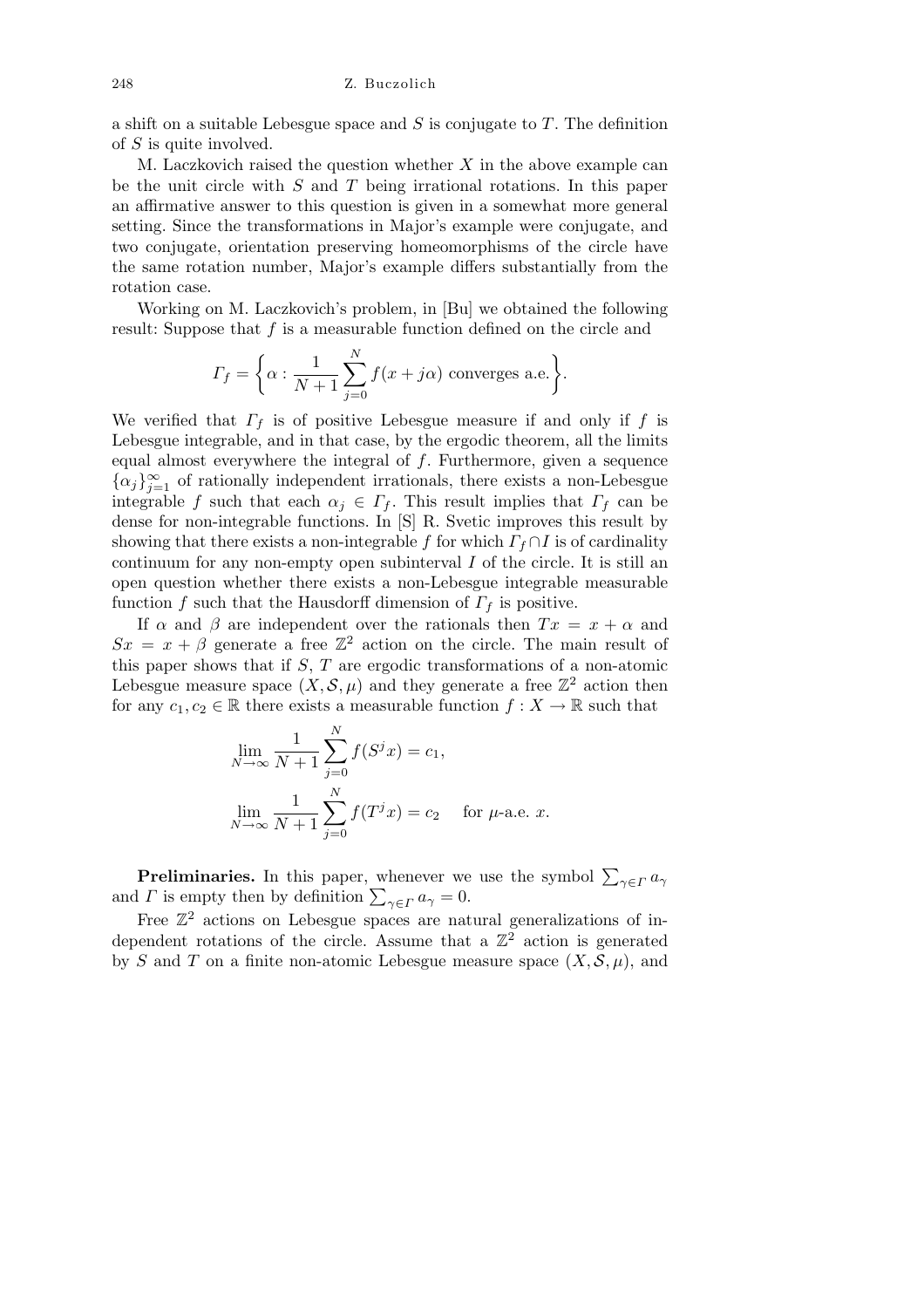a shift on a suitable Lebesgue space and *S* is conjugate to *T*. The definition of *S* is quite involved.

M. Laczkovich raised the question whether *X* in the above example can be the unit circle with *S* and *T* being irrational rotations. In this paper an affirmative answer to this question is given in a somewhat more general setting. Since the transformations in Major's example were conjugate, and two conjugate, orientation preserving homeomorphisms of the circle have the same rotation number, Major's example differs substantially from the rotation case.

Working on M. Laczkovich's problem, in [Bu] we obtained the following result: Suppose that *f* is a measurable function defined on the circle and

$$
\Gamma_f = \bigg\{ \alpha : \frac{1}{N+1} \sum_{j=0}^{N} f(x+j\alpha) \text{ converges a.e.} \bigg\}.
$$

We verified that  $\Gamma_f$  is of positive Lebesgue measure if and only if *f* is Lebesgue integrable, and in that case, by the ergodic theorem, all the limits equal almost everywhere the integral of *f*. Furthermore, given a sequence  $\{\alpha_j\}_{j=1}^{\infty}$  of rationally independent irrationals, there exists a non-Lebesgue integrable *f* such that each  $\alpha_j \in \Gamma_f$ . This result implies that  $\Gamma_f$  can be dense for non-integrable functions. In [S] R. Svetic improves this result by showing that there exists a non-integrable *f* for which  $\Gamma_f \cap I$  is of cardinality continuum for any non-empty open subinterval *I* of the circle. It is still an open question whether there exists a non-Lebesgue integrable measurable function *f* such that the Hausdorff dimension of  $\Gamma_f$  is positive.

If  $\alpha$  and  $\beta$  are independent over the rationals then  $Tx = x + \alpha$  and  $Sx = x + \beta$  generate a free  $\mathbb{Z}^2$  action on the circle. The main result of this paper shows that if *S*, *T* are ergodic transformations of a non-atomic Lebesgue measure space  $(X, \mathcal{S}, \mu)$  and they generate a free  $\mathbb{Z}^2$  action then for any  $c_1, c_2 \in \mathbb{R}$  there exists a measurable function  $f: X \to \mathbb{R}$  such that

$$
\lim_{N \to \infty} \frac{1}{N+1} \sum_{j=0}^{N} f(S^{j} x) = c_{1},
$$
  

$$
\lim_{N \to \infty} \frac{1}{N+1} \sum_{j=0}^{N} f(T^{j} x) = c_{2} \quad \text{for } \mu\text{-a.e. } x.
$$

**Preliminaries.** In this paper, whenever we use the symbol  $\sum_{\gamma \in \Gamma} a_{\gamma}$ *Premimizives.* In this paper, whenever we and *Γ* is empty then by definition  $\sum_{\gamma \in \Gamma} a_{\gamma} = 0$ .

Free  $\mathbb{Z}^2$  actions on Lebesgue spaces are natural generalizations of independent rotations of the circle. Assume that a  $\mathbb{Z}^2$  action is generated by *S* and *T* on a finite non-atomic Lebesgue measure space  $(X, \mathcal{S}, \mu)$ , and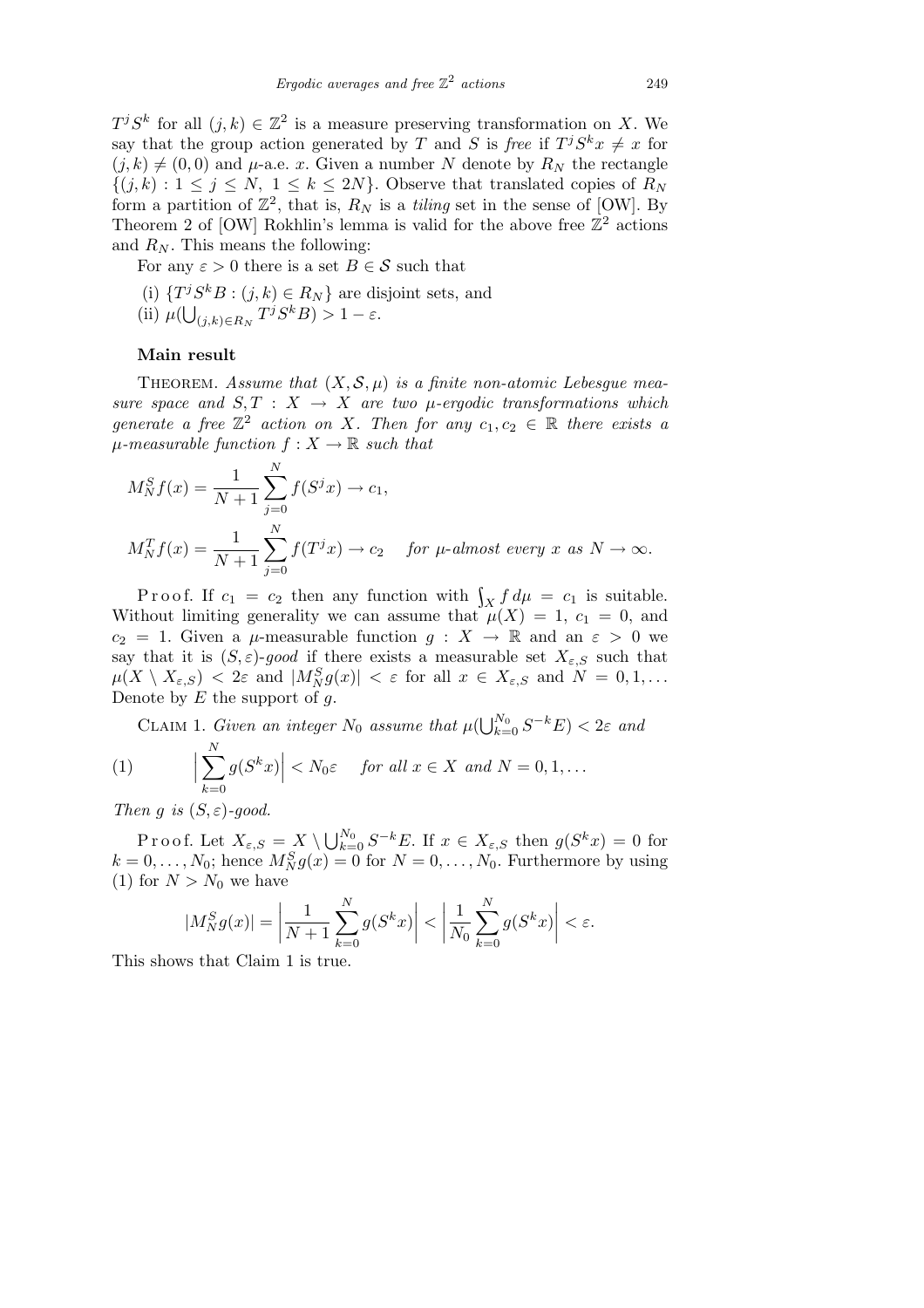$T^j S^k$  for all  $(j, k) \in \mathbb{Z}^2$  is a measure preserving transformation on *X*. We say that the group action generated by *T* and *S* is *free* if  $T^j S^k x \neq x$  for  $(i,k) \neq (0,0)$  and  $\mu$ -a.e. *x*. Given a number *N* denote by  $R_N$  the rectangle  $\{(j,k): 1 \leq j \leq N, 1 \leq k \leq 2N\}$ . Observe that translated copies of  $R_N$ form a partition of  $\mathbb{Z}^2$ , that is,  $R_N$  is a *tiling* set in the sense of [OW]. By Theorem 2 of [OW] Rokhlin's lemma is valid for the above free  $\mathbb{Z}^2$  actions and  $R_N$ . This means the following:

For any  $\varepsilon > 0$  there is a set  $B \in \mathcal{S}$  such that

- (i)  $\{T^j S^k B : (j, k) \in R_N\}$  are disjoint sets, and
- $\mu(\bigcup_{(j,k)\in R_N} T^j S^k B) > 1 \varepsilon.$

## **Main result**

THEOREM. Assume that  $(X, \mathcal{S}, \mu)$  is a finite non-atomic Lebesgue mea*sure space and*  $S, T : X \rightarrow X$  *are two*  $\mu$ -ergodic transformations which *generate a free*  $\mathbb{Z}^2$  *action on X. Then for any*  $c_1, c_2 \in \mathbb{R}$  *there exists a*  $\mu$ *-measurable function*  $f: X \to \mathbb{R}$  *such that* 

$$
M_N^S f(x) = \frac{1}{N+1} \sum_{j=0}^N f(S^j x) \to c_1,
$$
  

$$
M_N^T f(x) = \frac{1}{N+1} \sum_{j=0}^N f(T^j x) \to c_2 \quad \text{for } \mu\text{-almost every } x \text{ as } N \to \infty.
$$

P r o o f. If  $c_1 = c_2$  then any function with  $\int_X f d\mu = c_1$  is suitable. Without limiting generality we can assume that  $\mu(X) = 1$ ,  $c_1 = 0$ , and *c*<sub>2</sub> = 1. Given a *µ*-measurable function  $g: X \to \mathbb{R}$  and an  $\varepsilon > 0$  we say that it is  $(S, \varepsilon)$ -good if there exists a measurable set  $X_{\varepsilon,S}$  such that  $\mu(X \setminus X_{\varepsilon,S}) < 2\varepsilon$  and  $|M_N^S g(x)| < \varepsilon$  for all  $x \in X_{\varepsilon,S}$  and  $N = 0,1,...$ Denote by *E* the support of *g*.

CLAIM 1. *Given an integer*  $N_0$  *assume that*  $\mu(\bigcup_{k=1}^{N_0} N_k)$  $\frac{N_0}{k=0} S^{-k} E$ ) < 2*ε and* 

(1) 
$$
\Big|\sum_{k=0}^N g(S^k x)\Big| < N_0 \varepsilon \quad \text{for all } x \in X \text{ and } N = 0, 1, \dots
$$

*Then g is*  $(S, \varepsilon)$ *-good.* 

Proof. Let  $X_{\varepsilon,S} = X \setminus \bigcup_{k=1}^{N_0}$  $\int_{k=0}^{N_0} S^{-k} E$ . If  $x \in X_{\varepsilon,S}$  then  $g(S^k x) = 0$  for  $k = 0, \ldots, N_0$ ; hence  $M_N^S g(x) = 0$  for  $N = 0, \ldots, N_0$ . Furthermore by using (1) for  $N > N_0$  we have

$$
|M_N^S g(x)| = \left| \frac{1}{N+1} \sum_{k=0}^N g(S^k x) \right| < \left| \frac{1}{N_0} \sum_{k=0}^N g(S^k x) \right| < \varepsilon.
$$

This shows that Claim 1 is true.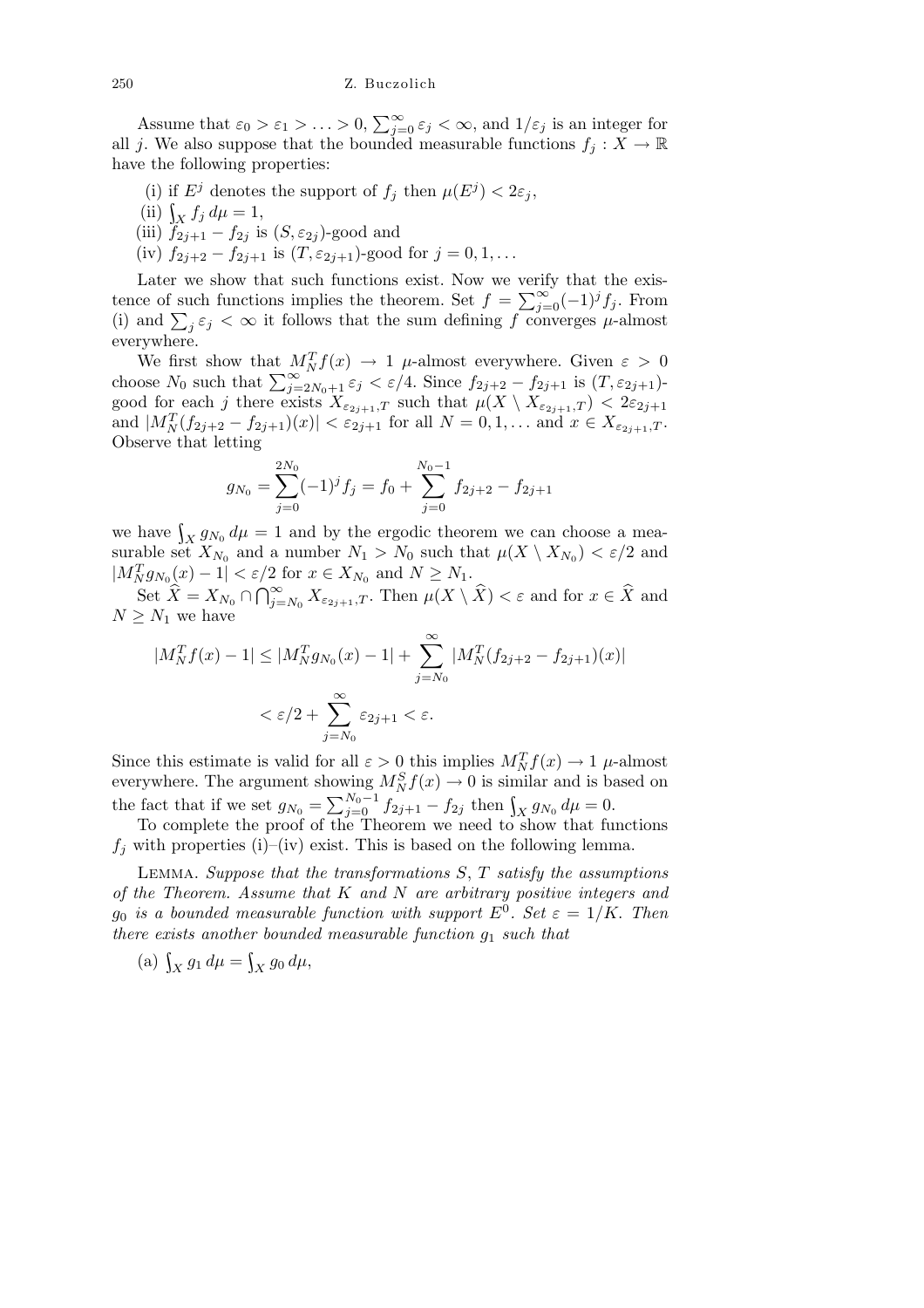Assume that  $\varepsilon_0 > \varepsilon_1 > \ldots > 0, \sum_{i=1}^{\infty}$  $\sum_{j=0}^{\infty} \varepsilon_j < \infty$ , and  $1/\varepsilon_j$  is an integer for all *j*. We also suppose that the bounded measurable functions  $f_j: X \to \mathbb{R}$ have the following properties:

- (i) if  $E^j$  denotes the support of  $f_j$  then  $\mu(E^j) < 2\varepsilon_j$ ,
- (ii)  $\int_X f_j \, d\mu = 1$ ,
- (iii)  $f_{2j+1} f_{2j}$  is  $(S, \varepsilon_{2j})$ -good and
- (iv)  $f_{2j+2} f_{2j+1}$  is  $(T, \varepsilon_{2j+1})$ -good for  $j = 0, 1, \ldots$

Later we show that such functions exist. Now we verify that the exis-Later we show that such functions exist. Now we verify that the exis-<br>tence of such functions implies the theorem. Set  $f = \sum_{j=0}^{\infty} (-1)^j f_j$ . From<br>(i) and  $\sum_i \varepsilon_i < \infty$  it follows that the sum defining *f* converges *µ*  $j \in \mathcal{S}$  it follows that the sum defining *f* converges *µ*-almost everywhere.

We first show that  $M_N^T f(x) \to 1$   $\mu$ -almost everywhere. Given  $\varepsilon > 0$  choose  $N_0$  such that  $\sum_{j=2N_0+1}^{\infty} \varepsilon_j < \varepsilon/4$ . Since  $f_{2j+2} - f_{2j+1}$  is  $(T, \varepsilon_{2j+1})$ good for each *j* there exists  $X_{\varepsilon_{2j+1},T}$  such that  $\mu(X \setminus X_{\varepsilon_{2j+1},T}) < 2\varepsilon_{2j+1}$ and  $|M_N^T(f_{2j+2} - f_{2j+1})(x)| < \varepsilon_{2j+1}$  for all  $N = 0, 1, ...$  and  $x \in X_{\varepsilon_{2j+1},T}$ . Observe that letting

$$
g_{N_0} = \sum_{j=0}^{2N_0} (-1)^j f_j = f_0 + \sum_{j=0}^{N_0 - 1} f_{2j+2} - f_{2j+1}
$$

we have  $\int_X g_{N_0} d\mu = 1$  and by the ergodic theorem we can choose a measurable set  $X_{N_0}$  and a number  $N_1 > N_0$  such that  $\mu(X \setminus X_{N_0}) < \varepsilon/2$  and  $|M_N^T g_{N_0}(x) - 1| < \varepsilon/2$  for  $x \in X_{N_0}$  and  $N \ge N_1$ .

 $\operatorname{Set} \hat{X} = X_{N_0} \cap \bigcap_{i=1}^{\infty}$  $\sum_{j=N_0}^{\infty} X_{\varepsilon_{2j+1},T}$ *.* Then  $\mu(X \setminus \widehat{X}) < \varepsilon$  and for  $x \in \widehat{X}$  and  $N \geq N_1$  we have

$$
|M_N^T f(x) - 1| \le |M_N^T g_{N_0}(x) - 1| + \sum_{j=N_0}^{\infty} |M_N^T (f_{2j+2} - f_{2j+1})(x)|
$$
  

$$
< \varepsilon/2 + \sum_{j=N_0}^{\infty} \varepsilon_{2j+1} < \varepsilon.
$$

Since this estimate is valid for all  $\varepsilon > 0$  this implies  $M_N^T f(x) \to 1$  *µ*-almost everywhere. The argument showing  $M_N^S f(x) \to 0$  is similar and is based on the fact that if we set  $g_{N_0} = \sum_{j=0}^{N_0-1} f_{2j+1} - f_{2j}$  then  $\int_X g_{N_0} d\mu = 0$ .

To complete the proof of the Theorem we need to show that functions  $f_i$  with properties (i)–(iv) exist. This is based on the following lemma.

Lemma. *Suppose that the transformations S*, *T satisfy the assumptions of the Theorem. Assume that K and N are arbitrary positive integers and g*<sub>0</sub> *is a bounded measurable function with support*  $E^0$ . Set  $\varepsilon = 1/K$ . Then *there exists another bounded measurable function g*<sup>1</sup> *such that*

(a)  $\int_X g_1 d\mu = \int_X g_0 d\mu,$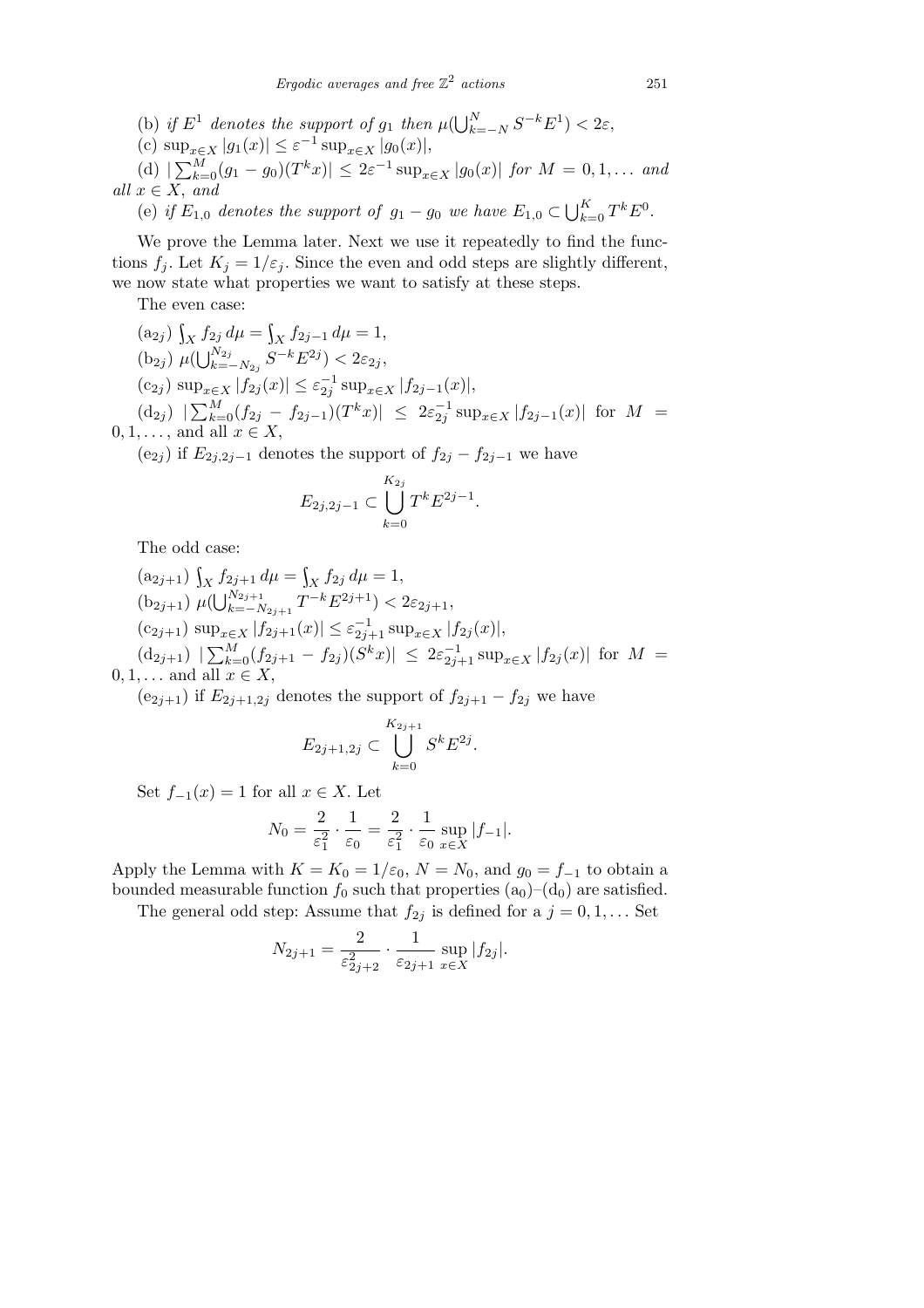(b) if  $E^1$  denotes the support of  $g_1$  then  $\mu(\bigcup_{k=1}^N g_k)$ *<sup>k</sup>*=*−<sup>N</sup> S <sup>−</sup><sup>k</sup>E*<sup>1</sup> ) *<* 2*ε*,

(c) sup<sub>$$
x \in X
$$</sub>  $|g_1(x)| \leq \varepsilon^{-1} \sup_{x \in X} |g_0(x)|$ ,

(d)  $|\sum_{k=1}^{M}$  $\int_{k=0}^{M} (g_1 - g_0)(T^k x) \leq 2\varepsilon^{-1} \sup_{x \in X} |g_0(x)|$  *for*  $M = 0, 1, \ldots$  *and*  $all x \in X$ *, and* 

 $\mathcal{L} \in \mathcal{L}$ ,  $\mathcal{L}$  *arrotes the support of*  $g_1 - g_0$  *we have*  $E_{1,0} \subset \bigcup_{k=1}^K$  $\frac{K}{k=0} T^k E^0.$ 

We prove the Lemma later. Next we use it repeatedly to find the functions  $f_i$ . Let  $K_i = 1/\varepsilon_i$ . Since the even and odd steps are slightly different, we now state what properties we want to satisfy at these steps.

The even case:

$$
(a_{2j})\int_X f_{2j} d\mu = \int_X f_{2j-1} d\mu = 1,
$$
  

$$
(b_{2j})\mu_{2j}^{N_{2j}} = \int_{S-k}^{S-1} E_{2j}^{2j} \leq 2\epsilon.
$$

$$
(b_{2j}) \ \mu(\bigcup_{k=-N_{2j}}^{N_{2j}} S^{-k} E^{2j}) < 2\varepsilon_{2j},
$$

 $(\text{c}_{2j}) \sup_{x \in X} |f_{2j}(x)| \leq \varepsilon_{2j}^{-1} \sup_{x \in X} |f_{2j-1}(x)|$ ,

 $(d_{2j})$   $|\sum_{k=1}^{M}$  $\frac{M}{k=0}(f_{2j}-f_{2j-1})(T^kx)| \ \leq \ 2\varepsilon_{2j}^{-1}\sup_{x\in X}|f_{2j-1}(x)| \ \ \text{for} \ \ M\ =$  $0, 1, \ldots$ , and all  $x \in X$ ,

(e<sub>2*j*</sub>) if  $E_{2j,2j-1}$  denotes the support of  $f_{2j} - f_{2j-1}$  we have

$$
E_{2j,2j-1} \subset \bigcup_{k=0}^{K_{2j}} T^k E^{2j-1}.
$$

The odd case:

$$
(a_{2j+1}) \int_X f_{2j+1} d\mu = \int_X f_{2j} d\mu = 1,
$$
  
\n
$$
(b_{2j+1}) \mu(\bigcup_{k=-N_{2j+1}}^{N_{2j+1}} T^{-k} E_{2j+1}^{2j+1}) < 2\varepsilon_{2j+1},
$$
  
\n
$$
(c_{2j+1}) \sup_{x \in X} |f_{2j+1}(x)| \le \varepsilon_{2j+1}^{-1} \sup_{x \in X} |f_{2j}(x)|,
$$
  
\n
$$
(d_{2j+1}) \left| \sum_{k=0}^M (f_{2j+1} - f_{2j})(S^k x) \right| \le 2\varepsilon_{2j+1}^{-1} \sup_{x \in X} |f_{2j}(x)| \text{ for } M = 1
$$

 $0, 1, \ldots$  and all  $x \in X$ ,

 $(e_{2j+1})$  if  $E_{2j+1,2j}$  denotes the support of  $f_{2j+1} - f_{2j}$  we have

$$
E_{2j+1,2j} \subset \bigcup_{k=0}^{K_{2j+1}} S^k E^{2j}.
$$

Set  $f_{-1}(x) = 1$  for all  $x \in X$ . Let

$$
N_0 = \frac{2}{\varepsilon_1^2} \cdot \frac{1}{\varepsilon_0} = \frac{2}{\varepsilon_1^2} \cdot \frac{1}{\varepsilon_0} \sup_{x \in X} |f_{-1}|.
$$

Apply the Lemma with  $K = K_0 = 1/\varepsilon_0$ ,  $N = N_0$ , and  $g_0 = f_{-1}$  to obtain a bounded measurable function  $f_0$  such that properties  $(a_0)$ – $(d_0)$  are satisfied.

The general odd step: Assume that  $f_{2j}$  is defined for a  $j = 0, 1, \ldots$  Set

$$
N_{2j+1} = \frac{2}{\varepsilon_{2j+2}^2} \cdot \frac{1}{\varepsilon_{2j+1}} \sup_{x \in X} |f_{2j}|.
$$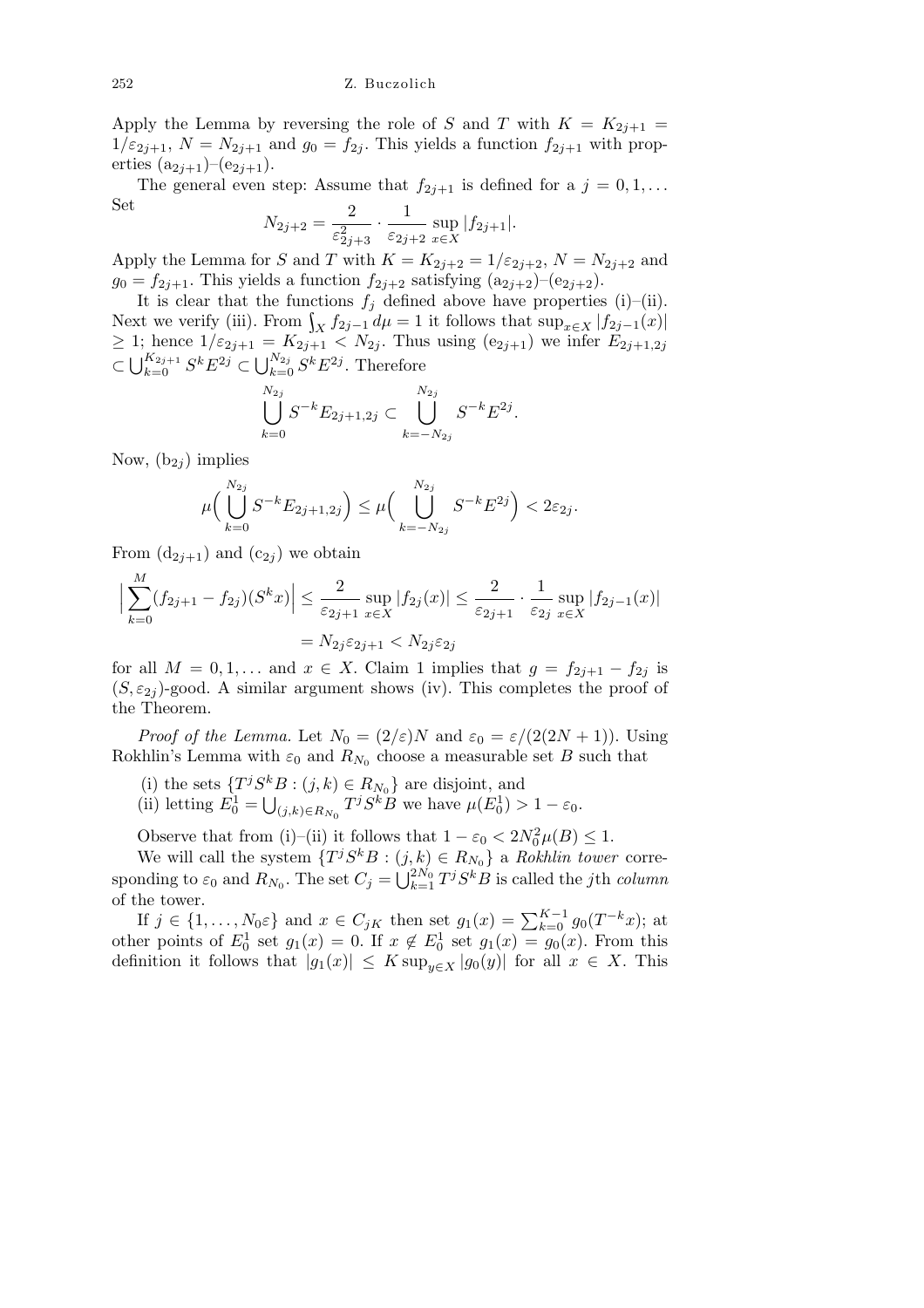Apply the Lemma by reversing the role of *S* and *T* with  $K = K_{2j+1}$  $1/\epsilon_{2j+1}$ ,  $N = N_{2j+1}$  and  $g_0 = f_{2j}$ . This yields a function  $f_{2j+1}$  with properties  $(a_{2j+1})-(e_{2j+1}).$ 

The general even step: Assume that  $f_{2j+1}$  is defined for a  $j = 0, 1, \ldots$ Set 2 1

$$
N_{2j+2} = \frac{2}{\varepsilon_{2j+3}^2} \cdot \frac{1}{\varepsilon_{2j+2}} \sup_{x \in X} |f_{2j+1}|.
$$

Apply the Lemma for *S* and *T* with  $K = K_{2j+2} = 1/\varepsilon_{2j+2}$ ,  $N = N_{2j+2}$  and  $g_0 = f_{2j+1}$ . This yields a function  $f_{2j+2}$  satisfying  $(a_{2j+2})-(e_{2j+2})$ .

It is clear that the functions  $f_j$  defined above have properties (i)–(ii). Next we verify (iii). From  $\int_X f_{2j-1} d\mu = 1$  it follows that  $\sup_{x \in X} |f_{2j-1}(x)|$  $\geq$  1; hence  $1/\varepsilon_{2j+1} = K_{2j+1} < N_{2j}$ . Thus using  $(e_{2j+1})$  we infer  $E_{2j+1,2j}$  $\subset \bigcup_{k=0}^{K_{2j+1}} S^k E^{2j} \subset \bigcup_{k=0}^{N_{2j}} S^k E^{2j}$ . Therefore

$$
\bigcup_{k=0}^{N_{2j}} S^{-k} E_{2j+1,2j} \subset \bigcup_{k=-N_{2j}}^{N_{2j}} S^{-k} E^{2j}.
$$

Now,  $(b_{2i})$  implies

$$
\mu\Big(\bigcup_{k=0}^{N_{2j}} S^{-k} E_{2j+1,2j}\Big) \le \mu\Big(\bigcup_{k=-N_{2j}}^{N_{2j}} S^{-k} E^{2j}\Big) < 2\varepsilon_{2j}.
$$

From  $(d_{2j+1})$  and  $(c_{2j})$  we obtain

$$
\Big| \sum_{k=0}^{M} (f_{2j+1} - f_{2j})(S^k x) \Big| \le \frac{2}{\varepsilon_{2j+1}} \sup_{x \in X} |f_{2j}(x)| \le \frac{2}{\varepsilon_{2j+1}} \cdot \frac{1}{\varepsilon_{2j}} \sup_{x \in X} |f_{2j-1}(x)|
$$
  
=  $N_{2j} \varepsilon_{2j+1} < N_{2j} \varepsilon_{2j}$ 

for all  $M = 0, 1, \ldots$  and  $x \in X$ . Claim 1 implies that  $g = f_{2j+1} - f_{2j}$  is  $(S, \varepsilon_{2j})$ -good. A similar argument shows (iv). This completes the proof of the Theorem.

*Proof of the Lemma.* Let  $N_0 = (2/\varepsilon)N$  and  $\varepsilon_0 = \varepsilon/(2(2N+1))$ . Using Rokhlin's Lemma with  $\varepsilon_0$  and  $R_{N_0}$  choose a measurable set *B* such that

- (i) the sets  $\{T^j S^k B : (j, k) \in R_{N_0}\}\$ are disjoint, and S
- (ii) letting  $E_0^1 =$  $(t_{j,k}) \in R_{N_0}$  *T*<sup>*j*</sup>*S*<sup>*k*</sup>*B* we have  $\mu(E_0^1) > 1 - \varepsilon_0$ .

Observe that from (i)–(ii) it follows that  $1 - \varepsilon_0 < 2N_0^2 \mu(B) \le 1$ .

We will call the system  $\{T^j S^k B : (j, k) \in R_{N_0}\}\$ a *Rokhlin tower* corresponding to  $\varepsilon_0$  and  $R_{N_0}$ . The set  $C_j = \bigcup_{k=1}^{N_0} E_{k-1}$  $\int_{k=1}^{2N_0} T^j S^k B$  is called the *j*th *column* of the tower.

If  $j \in \{1, \ldots, N_0 \varepsilon\}$  and  $x \in C_{jK}$  then set  $g_1(x) = \sum_{k=0}^{K-1} g_0(T^{-k}x)$ ; at other points of  $E_0^1$  set  $g_1(x) = 0$ . If  $x \notin E_0^1$  set  $g_1(x) = g_0(x)$ . From this definition it follows that  $|g_1(x)| \leq K \sup_{y \in X} |g_0(y)|$  for all  $x \in X$ . This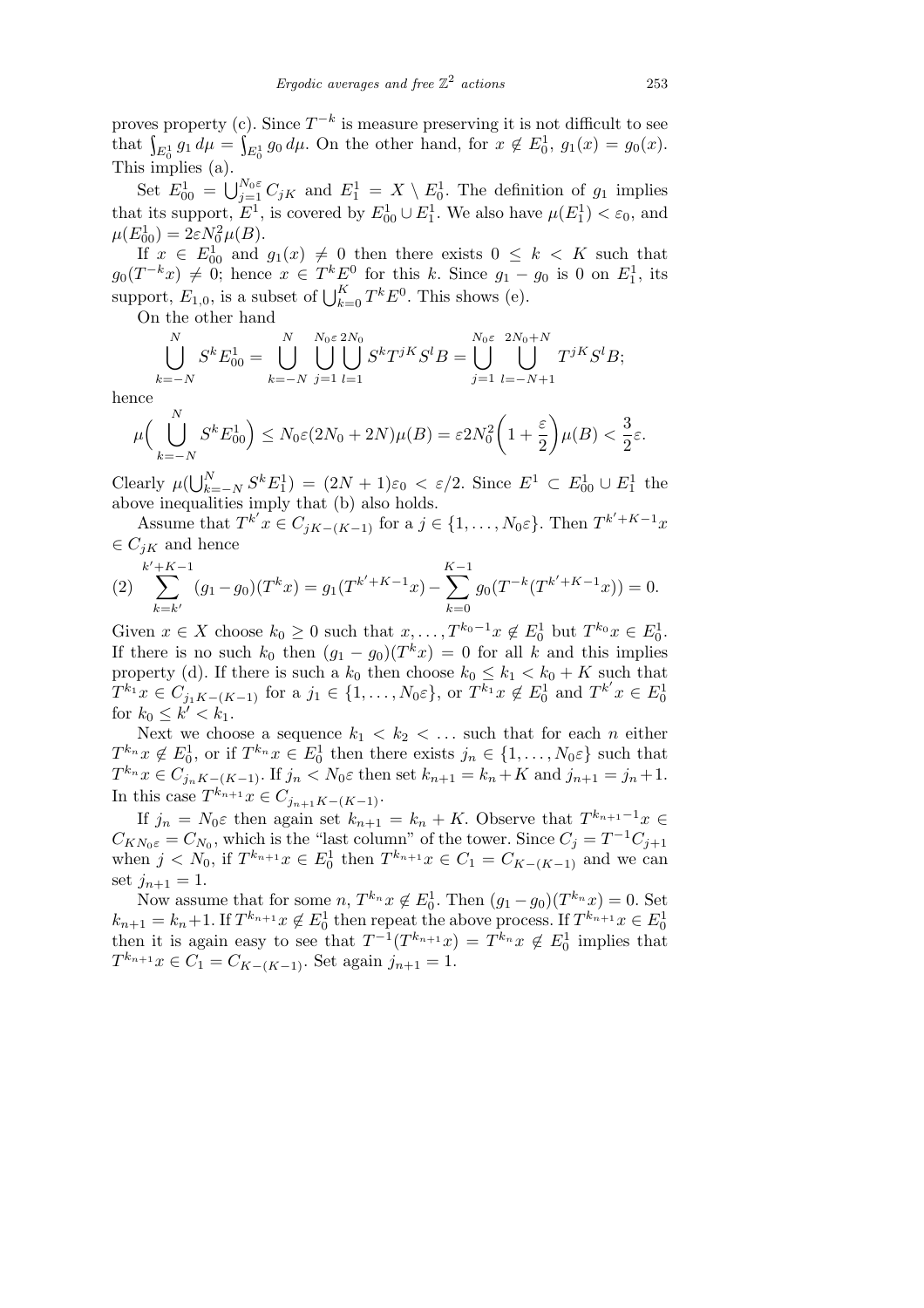proves property (c). Since *T −k* is measure preserving it is not difficult to see that  $\int_{E_0^1} g_1 d\mu = \int_{E_0^1} g_0 d\mu$ . On the other hand, for  $x \notin E_0^1$ ,  $g_1(x) = g_0(x)$ . This implies (a).

Set  $E_{00}^1 = \bigcup_{j=1}^{N_0 \varepsilon} C_{jK}$  and  $E_1^1 = X \setminus E_0^1$ . The definition of  $g_1$  implies that its support,  $E^1$ , is covered by  $E^1_{00} \cup E^1_1$ . We also have  $\mu(E^1_1) < \varepsilon_0$ , and  $\mu(E_{00}^1) = 2\varepsilon N_0^2 \mu(B).$ 

If  $x \in E_{00}^1$  and  $g_1(x) \neq 0$  then there exists  $0 \leq k \leq K$  such that  $g_0(T^{-k}x) \neq 0$ ; hence  $x \in T^k E^0$  for this *k*. Since  $g_1 - g_0$  is 0 on  $E_1^1$ , its support,  $E_{1,0}$ , is a subset of  $\bigcup_{k=0}^{K} T^{k} E^{0}$ . This shows (e).

On the other hand

$$
\bigcup_{k=-N}^{N} S^{k} E_{00}^{1} = \bigcup_{k=-N}^{N} \bigcup_{j=1}^{N_{0} \in 2N_{0}} S^{k} T^{jK} S^{l} B = \bigcup_{j=1}^{N_{0} \in 2N_{0}+N} \bigcup_{l=-N+1}^{N_{l} \in 2N_{l}} T^{jK} S^{l} B;
$$

hence

$$
\mu\Big(\bigcup_{k=-N}^{N} S^k E_{00}^1\Big) \le N_0 \varepsilon (2N_0 + 2N)\mu(B) = \varepsilon 2N_0^2 \bigg(1 + \frac{\varepsilon}{2}\bigg) \mu(B) < \frac{3}{2}\varepsilon.
$$

Clearly  $\mu(\bigcup_{k=1}^N$ *N*  $\sum_{k=-N}^{N} S^{k} E_{1}^{1}$  = (2*N* + 1) $\varepsilon_0 < \varepsilon/2$ . Since  $E^{1} \subset E_{00}^{1} \cup E_{1}^{1}$  the above inequalities imply that (b) also holds.

Assume that  $T^{k'}x \in C_{jK-(K-1)}$  for a  $j \in \{1,\ldots,N_0\varepsilon\}$ . Then  $T^{k'+K-1}x$  $∈$   $C_{iK}$  and hence

$$
(2)\sum_{k=k'}^{k'+K-1} (g_1 - g_0)(T^k x) = g_1(T^{k'+K-1} x) - \sum_{k=0}^{K-1} g_0(T^{-k}(T^{k'+K-1} x)) = 0.
$$

Given  $x \in X$  choose  $k_0 \geq 0$  such that  $x, \ldots, T^{k_0-1}x \notin E_0^1$  but  $T^{k_0}x \in E_0^1$ . If there is no such  $k_0$  then  $(g_1 - g_0)(T^k x) = 0$  for all  $k$  and this implies property (d). If there is such a  $k_0$  then choose  $k_0 \leq k_1 < k_0 + K$  such that  $T^{k_1}x \in C_{j_1K-(K-1)}$  for a  $j_1 \in \{1, ..., N_0\varepsilon\}$ , or  $T^{k_1}x \notin E_0^1$  and  $T^{k'}x \in E_0^1$ for  $k_0 \leq k' < k_1$ .

Next we choose a sequence  $k_1 < k_2 < \ldots$  such that for each *n* either  $T^{k_n}$ *x*  $\notin E_0^1$ , or if  $T^{k_n}$ *x*  $\in E_0^1$  then there exists  $j_n \in \{1, ..., N_0 \varepsilon\}$  such that  $T^{k_n} x \in C_{j_n K - (K-1)}$ . If  $j_n < N_0 \varepsilon$  then set  $k_{n+1} = k_n + K$  and  $j_{n+1} = j_n + 1$ . In this case  $T^{k_{n+1}}x \in C_{j_{n+1}K-(K-1)}$ .

If  $j_n = N_0 \varepsilon$  then again set  $k_{n+1} = k_n + K$ . Observe that  $T^{k_{n+1}-1}x \in$  $C_{KN_0\varepsilon} = C_{N_0}$ , which is the "last column" of the tower. Since  $C_j = T^{-1}C_{j+1}$ when  $j < N_0$ , if  $T^{k_{n+1}}x \in E_0^1$  then  $T^{k_{n+1}}x \in C_1 = C_{K-(K-1)}$  and we can set  $j_{n+1} = 1$ .

Now assume that for some  $n, T^{k_n}x \notin E_0^1$ . Then  $(g_1 - g_0)(T^{k_n}x) = 0$ . Set  $k_{n+1} = k_n + 1$ . If  $T^{k_{n+1}}x \notin E_0^1$  then repeat the above process. If  $T^{k_{n+1}}x \in E_0^1$ then it is again easy to see that  $T^{-1}(T^{k_{n+1}}x) = T^{k_n}x \notin E_0^1$  implies that  $T^{k_{n+1}}x \in C_1 = C_{K-(K-1)}$ . Set again *j*<sub>*n*+1</sub> = 1.